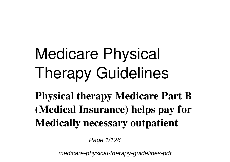# **Medicare Physical Therapy Guidelines**

**Physical therapy Medicare Part B (Medical Insurance) helps pay for Medically necessary outpatient**

Page 1/126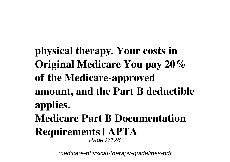**physical therapy. Your costs in Original Medicare You pay 20% of the Medicare-approved amount, and the Part B deductible applies. Medicare Part B Documentation Requirements | APTA** Page 2/126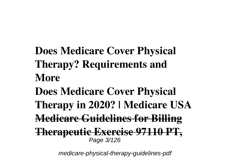**Does Medicare Cover Physical Therapy? Requirements and More Does Medicare Cover Physical Therapy in 2020? | Medicare USA Medicare Guidelines for Billing Therapeutic Exercise 97110 PT,** Page 3/126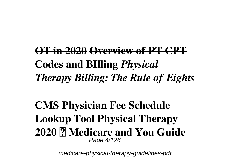**OT in 2020 Overview of PT CPT Codes and BIlling** *Physical Therapy Billing: The Rule of Eights*

**CMS Physician Fee Schedule Lookup Tool Physical Therapy 2020 ✅ Medicare and You Guide** Page 4/126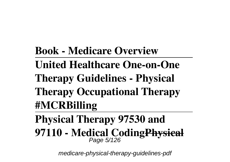**Book - Medicare Overview** 

- **United Healthcare One-on-One**
- **Therapy Guidelines Physical**
- **Therapy Occupational Therapy #MCRBilling**
- **Physical Therapy 97530 and**
- **97110 Medical CodingPhysical** Page 5/126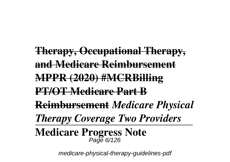**Therapy, Occupational Therapy, and Medicare Reimbursement MPPR (2020) #MCRBilling PT/OT Medicare Part B Reimbursement** *Medicare Physical Therapy Coverage Two Providers* **Medicare Progress Note** Page 6/126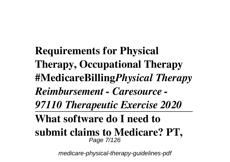**Requirements for Physical Therapy, Occupational Therapy #MedicareBilling***Physical Therapy Reimbursement - Caresource - 97110 Therapeutic Exercise 2020* **What software do I need to submit claims to Medicare? PT,** Page 7/126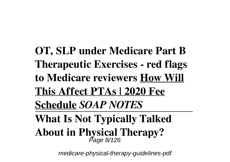**OT, SLP under Medicare Part B Therapeutic Exercises - red flags to Medicare reviewers How Will This Affect PTAs | 2020 Fee Schedule** *SOAP NOTES* **What Is Not Typically Talked About in Physical Therapy?** Page 8/126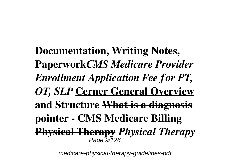**Documentation, Writing Notes, Paperwork***CMS Medicare Provider Enrollment Application Fee for PT, OT, SLP* **Cerner General Overview and Structure What is a diagnosis pointer - CMS Medicare Billing Physical Therapy** *Physical Therapy* Page 9/126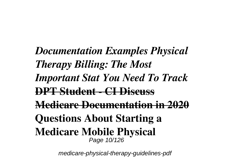*Documentation Examples Physical Therapy Billing: The Most Important Stat You Need To Track* **DPT Student - CI Discuss Medicare Documentation in 2020 Questions About Starting a Medicare Mobile Physical** Page 10/126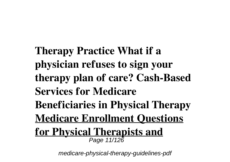**Therapy Practice What if a physician refuses to sign your therapy plan of care? Cash-Based Services for Medicare Beneficiaries in Physical Therapy Medicare Enrollment Questions for Physical Therapists and** Page 11/126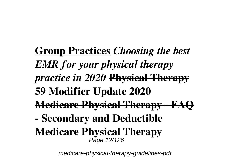**Group Practices** *Choosing the best EMR for your physical therapy practice in 2020* **Physical Therapy 59 Modifier Update 2020 Medicare Physical Therapy - FAQ - Secondary and Deductible Medicare Physical Therapy** Page 12/126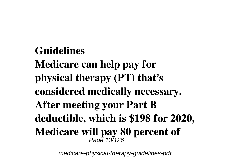**Guidelines Medicare can help pay for physical therapy (PT) that's considered medically necessary. After meeting your Part B deductible, which is \$198 for 2020, Medicare will pay 80 percent of** Page 13/126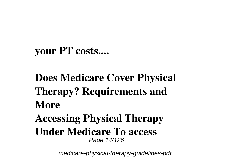### **your PT costs....**

## **Does Medicare Cover Physical Therapy? Requirements and More Accessing Physical Therapy Under Medicare To access** Page 14/126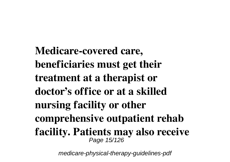**Medicare-covered care, beneficiaries must get their treatment at a therapist or doctor's office or at a skilled nursing facility or other comprehensive outpatient rehab facility. Patients may also receive** Page 15/126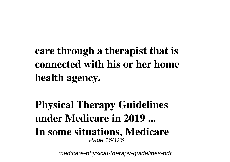**care through a therapist that is connected with his or her home health agency.**

**Physical Therapy Guidelines under Medicare in 2019 ... In some situations, Medicare** Page 16/126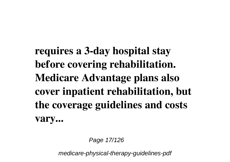**requires a 3-day hospital stay before covering rehabilitation. Medicare Advantage plans also cover inpatient rehabilitation, but the coverage guidelines and costs vary...**

Page 17/126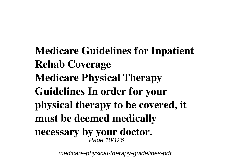**Medicare Guidelines for Inpatient Rehab Coverage Medicare Physical Therapy Guidelines In order for your physical therapy to be covered, it must be deemed medically necessary by your doctor.** Page 18/126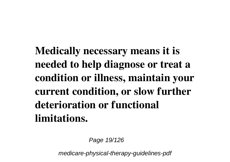**Medically necessary means it is needed to help diagnose or treat a condition or illness, maintain your current condition, or slow further deterioration or functional limitations.**

Page 19/126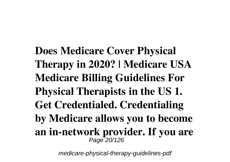**Does Medicare Cover Physical Therapy in 2020? | Medicare USA Medicare Billing Guidelines For Physical Therapists in the US 1. Get Credentialed. Credentialing by Medicare allows you to become an in-network provider. If you are** Page 20/126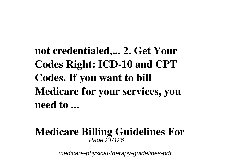**not credentialed,... 2. Get Your Codes Right: ICD-10 and CPT Codes. If you want to bill Medicare for your services, you need to ...**

#### **Medicare Billing Guidelines For** Page 21/126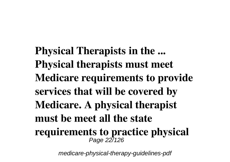**Physical Therapists in the ... Physical therapists must meet Medicare requirements to provide services that will be covered by Medicare. A physical therapist must be meet all the state requirements to practice physical** Page 227126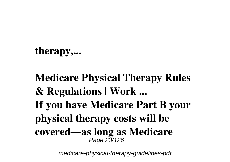## **therapy,...**

**Medicare Physical Therapy Rules & Regulations | Work ... If you have Medicare Part B your physical therapy costs will be covered—as long as Medicare** Page 23/126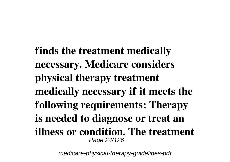**finds the treatment medically necessary. Medicare considers physical therapy treatment medically necessary if it meets the following requirements: Therapy is needed to diagnose or treat an illness or condition. The treatment** Page 24/126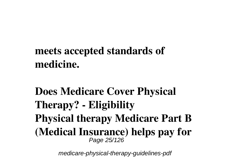## **meets accepted standards of medicine.**

**Does Medicare Cover Physical Therapy? - Eligibility Physical therapy Medicare Part B (Medical Insurance) helps pay for** Page 25/126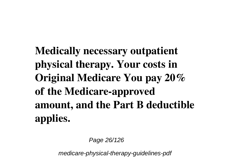**Medically necessary outpatient physical therapy. Your costs in Original Medicare You pay 20% of the Medicare-approved amount, and the Part B deductible applies.**

Page 26/126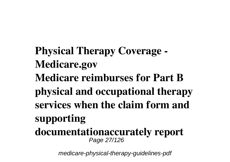**Physical Therapy Coverage - Medicare.gov Medicare reimburses for Part B physical and occupational therapy services when the claim form and supporting documentationaccurately report** Page 27/126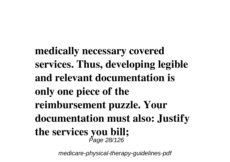**medically necessary covered services. Thus, developing legible and relevant documentation is only one piece of the reimbursement puzzle. Your documentation must also: Justify the services you bill;**<br> *Page 28/126*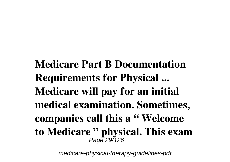**Medicare Part B Documentation Requirements for Physical ... Medicare will pay for an initial medical examination. Sometimes, companies call this a " Welcome to Medicare " physical. This exam** Page 29/126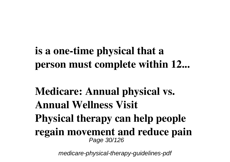**is a one-time physical that a person must complete within 12...**

**Medicare: Annual physical vs. Annual Wellness Visit Physical therapy can help people regain movement and reduce pain** Page 30/126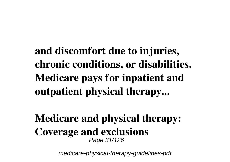**and discomfort due to injuries, chronic conditions, or disabilities. Medicare pays for inpatient and outpatient physical therapy...**

**Medicare and physical therapy: Coverage and exclusions** Page 31/126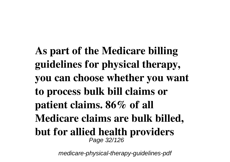**As part of the Medicare billing guidelines for physical therapy, you can choose whether you want to process bulk bill claims or patient claims. 86% of all Medicare claims are bulk billed, but for allied health providers** Page 32/126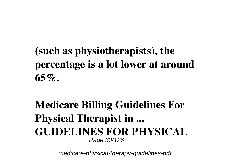**(such as physiotherapists), the percentage is a lot lower at around 65%.**

**Medicare Billing Guidelines For Physical Therapist in ... GUIDELINES FOR PHYSICAL** Page 33/126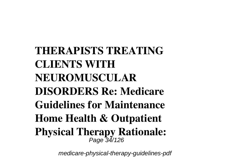**THERAPISTS TREATING CLIENTS WITH NEUROMUSCULAR DISORDERS Re: Medicare Guidelines for Maintenance Home Health & Outpatient Physical Therapy Rationale:** Page 34/126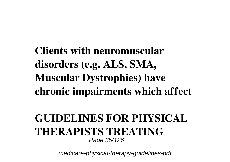**Clients with neuromuscular disorders (e.g. ALS, SMA, Muscular Dystrophies) have chronic impairments which affect**

#### **GUIDELINES FOR PHYSICAL THERAPISTS TREATING** Page 35/126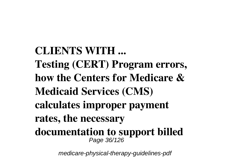**CLIENTS WITH ... Testing (CERT) Program errors, how the Centers for Medicare & Medicaid Services (CMS) calculates improper payment rates, the necessary documentation to support billed** Page 36/126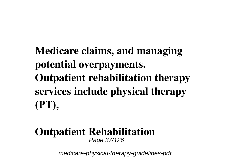**Medicare claims, and managing potential overpayments. Outpatient rehabilitation therapy services include physical therapy (PT),**

#### **Outpatient Rehabilitation** Page 37/126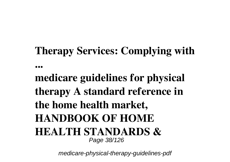# **Therapy Services: Complying with**

**...**

**medicare guidelines for physical therapy A standard reference in the home health market, HANDBOOK OF HOME HEALTH STANDARDS &** Page 38/126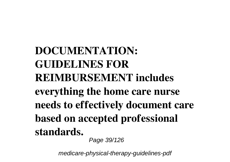**DOCUMENTATION: GUIDELINES FOR REIMBURSEMENT includes everything the home care nurse needs to effectively document care based on accepted professional standards.** Page 39/126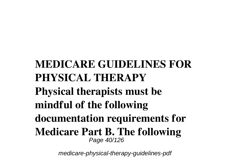### **MEDICARE GUIDELINES FOR PHYSICAL THERAPY Physical therapists must be mindful of the following documentation requirements for Medicare Part B. The following** Page 40/126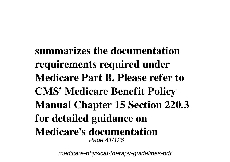**summarizes the documentation requirements required under Medicare Part B. Please refer to CMS' Medicare Benefit Policy Manual Chapter 15 Section 220.3 for detailed guidance on Medicare's documentation** Page 41/126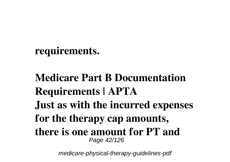#### **requirements.**

**Medicare Part B Documentation Requirements | APTA Just as with the incurred expenses for the therapy cap amounts, there is one amount for PT and** Page 42/126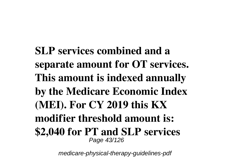**SLP services combined and a separate amount for OT services. This amount is indexed annually by the Medicare Economic Index (MEI). For CY 2019 this KX modifier threshold amount is: \$2,040 for PT and SLP services** Page 43/126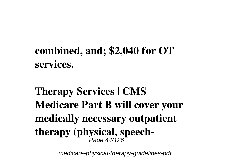## **combined, and; \$2,040 for OT services.**

# **Therapy Services | CMS Medicare Part B will cover your medically necessary outpatient therapy (physical, speech-**Page 44/126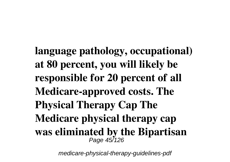**language pathology, occupational) at 80 percent, you will likely be responsible for 20 percent of all Medicare-approved costs. The Physical Therapy Cap The Medicare physical therapy cap was eliminated by the Bipartisan** Page 45/126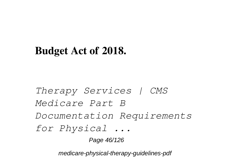#### **Budget Act of 2018.**

*Therapy Services | CMS Medicare Part B Documentation Requirements for Physical ...* Page 46/126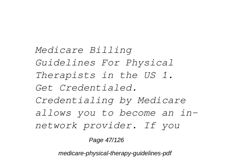*Medicare Billing Guidelines For Physical Therapists in the US 1. Get Credentialed. Credentialing by Medicare allows you to become an innetwork provider. If you*

Page 47/126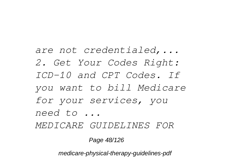*are not credentialed,... 2. Get Your Codes Right: ICD-10 and CPT Codes. If you want to bill Medicare for your services, you need to ...*

*MEDICARE GUIDELINES FOR*

Page 48/126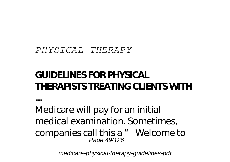#### *PHYSICAL THERAPY*

**...**

#### **GUIDELINES FOR PHYSICAL THERAPISTS TREATING CLIENTS WITH**

Medicare will pay for an initial medical examination. Sometimes, companies call this a " Welcome to Page 49/126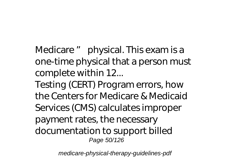Medicare " physical. This exam is a one-time physical that a person must complete within 12...

Testing (CERT) Program errors, how the Centers for Medicare & Medicaid Services (CMS) calculates improper payment rates, the necessary documentation to support billed Page 50/126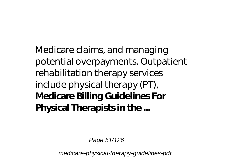Medicare claims, and managing potential overpayments. Outpatient rehabilitation therapy services include physical therapy (PT), **Medicare Billing Guidelines For Physical Therapists in the ...**

Page 51/126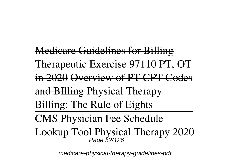Medicare Guidelines for Billing Therapeutic Exercise 97110 PT, OT in 2020 Overview of PT CPT Codes and BIlling *Physical Therapy Billing: The Rule of Eights* CMS Physician Fee Schedule Lookup Tool Physical Therapy 2020 Page 52/126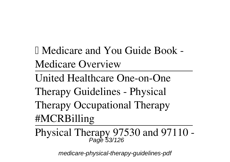✅ Medicare and You Guide Book - Medicare Overview

United Healthcare One-on-One

Therapy Guidelines - Physical

Therapy Occupational Therapy #MCRBilling

Physical Therapy 97530 and 97110 -  $P_{\text{age}}$  53/126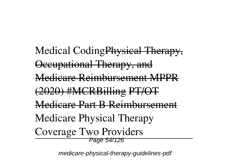Medical CodingPhysical Therapy. Occupational Therapy, and Medicare Reimbursement MPPR (2020) #MCRBilling PT/OT Medicare Dart R Deimbursement *Medicare Physical Therapy Coverage Two Providers* Page 54/126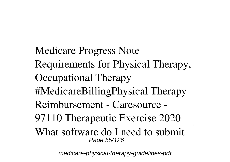Medicare Progress Note Requirements for Physical Therapy, Occupational Therapy #MedicareBilling*Physical Therapy Reimbursement - Caresource - 97110 Therapeutic Exercise 2020* What software do I need to submit Page 55/126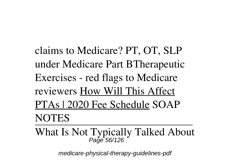claims to Medicare? PT, OT, SLP under Medicare Part B**Therapeutic Exercises - red flags to Medicare reviewers** How Will This Affect PTAs | 2020 Fee Schedule *SOAP NOTES*

What Is Not Typically Talked About Page 56/126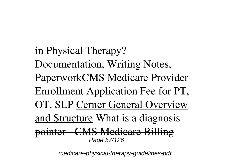in Physical Therapy? Documentation, Writing Notes, Paperwork*CMS Medicare Provider Enrollment Application Fee for PT, OT, SLP* Cerner General Overview and Structure What is a diagnosis pointer - CMS Medicare Billing Page 57/126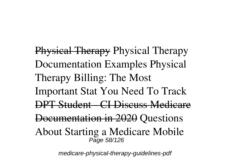Physical Therapy *Physical Therapy Documentation Examples Physical Therapy Billing: The Most Important Stat You Need To Track* DPT Student - CI Discuss Medicare Documentation in 2020 **Questions About Starting a Medicare Mobile** Page 58/126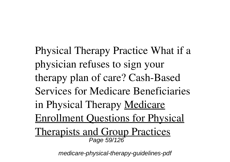**Physical Therapy Practice What if a physician refuses to sign your therapy plan of care? Cash-Based Services for Medicare Beneficiaries in Physical Therapy** Medicare Enrollment Questions for Physical Therapists and Group Practices Page 59/126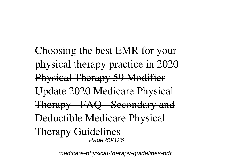*Choosing the best EMR for your physical therapy practice in 2020* Physical Therapy 59 Modifier Update 2020 Medicare Physical Therapy - FAQ - Secondary and Deductible **Medicare Physical Therapy Guidelines** Page 60/126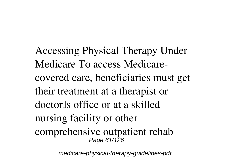Accessing Physical Therapy Under Medicare To access Medicarecovered care, beneficiaries must get their treatment at a therapist or doctor<sup>[</sup>s office or at a skilled nursing facility or other comprehensive outpatient rehab Page 61/126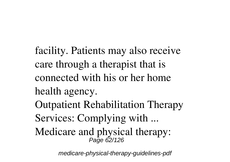facility. Patients may also receive care through a therapist that is connected with his or her home health agency. **Outpatient Rehabilitation Therapy Services: Complying with ... Medicare and physical therapy:** Page 62/126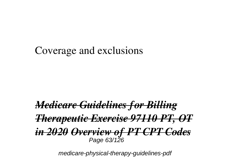#### **Coverage and exclusions**

#### *Medicare Guidelines for Billing Therapeutic Exercise 97110 PT, OT in 2020 Overview of PT CPT Codes* Page 63/126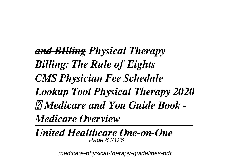*and BIlling Physical Therapy Billing: The Rule of Eights CMS Physician Fee Schedule Lookup Tool Physical Therapy 2020 ✅ Medicare and You Guide Book - Medicare Overview* 

*United Healthcare One-on-One* Page 64/126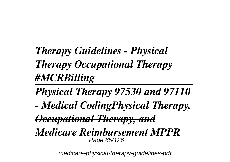## *Therapy Guidelines - Physical Therapy Occupational Therapy #MCRBilling*

*Physical Therapy 97530 and 97110*

*- Medical CodingPhysical Therapy,*

*Occupational Therapy, and*

*Medicare Reimbursement MPPR* Page 65/126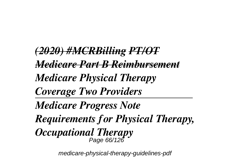*(2020) #MCRBilling PT/OT Medicare Part B Reimbursement Medicare Physical Therapy Coverage Two Providers Medicare Progress Note Requirements for Physical Therapy, Occupational Therapy* Page 66/126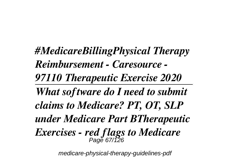*#MedicareBillingPhysical Therapy Reimbursement - Caresource - 97110 Therapeutic Exercise 2020 What software do I need to submit claims to Medicare? PT, OT, SLP under Medicare Part BTherapeutic Exercises - red flags to Medicare* Page 67/126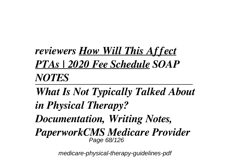*reviewers How Will This Affect PTAs | 2020 Fee Schedule SOAP NOTES*

*What Is Not Typically Talked About in Physical Therapy? Documentation, Writing Notes, PaperworkCMS Medicare Provider* Page 68/126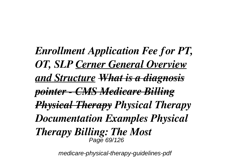*Enrollment Application Fee for PT, OT, SLP Cerner General Overview and Structure What is a diagnosis pointer - CMS Medicare Billing Physical Therapy Physical Therapy Documentation Examples Physical Therapy Billing: The Most* Page 69/126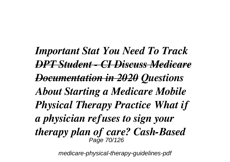*Important Stat You Need To Track DPT Student - CI Discuss Medicare Documentation in 2020 Questions About Starting a Medicare Mobile Physical Therapy Practice What if a physician refuses to sign your therapy plan of care? Cash-Based* Page 70/126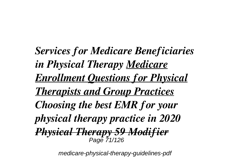*Services for Medicare Beneficiaries in Physical Therapy Medicare Enrollment Questions for Physical Therapists and Group Practices Choosing the best EMR for your physical therapy practice in 2020 Physical Therapy 59 Modifier* Page 71/126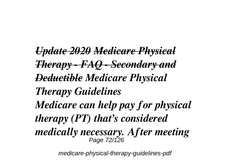*Update 2020 Medicare Physical Therapy - FAQ - Secondary and Deductible Medicare Physical Therapy Guidelines Medicare can help pay for physical therapy (PT) that's considered medically necessary. After meeting* Page 72/126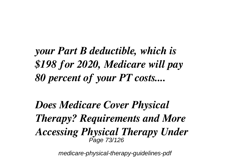*your Part B deductible, which is \$198 for 2020, Medicare will pay 80 percent of your PT costs....*

*Does Medicare Cover Physical Therapy? Requirements and More Accessing Physical Therapy Under* Page 73/126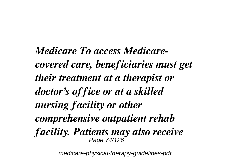*Medicare To access Medicarecovered care, beneficiaries must get their treatment at a therapist or doctor's office or at a skilled nursing facility or other comprehensive outpatient rehab facility. Patients may also receive* Page 74/126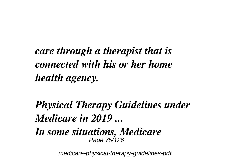*care through a therapist that is connected with his or her home health agency.*

*Physical Therapy Guidelines under Medicare in 2019 ...*

*In some situations, Medicare* Page 75/126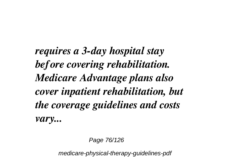*requires a 3-day hospital stay before covering rehabilitation. Medicare Advantage plans also cover inpatient rehabilitation, but the coverage guidelines and costs vary...*

Page 76/126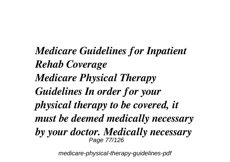*Medicare Guidelines for Inpatient Rehab Coverage Medicare Physical Therapy Guidelines In order for your physical therapy to be covered, it must be deemed medically necessary by your doctor. Medically necessary* Page 77/126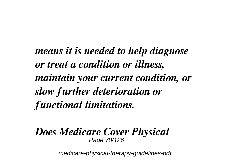*means it is needed to help diagnose or treat a condition or illness, maintain your current condition, or slow further deterioration or functional limitations.*

#### *Does Medicare Cover Physical* Page 78/126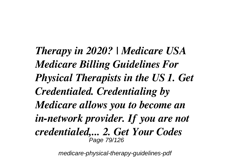*Therapy in 2020? | Medicare USA Medicare Billing Guidelines For Physical Therapists in the US 1. Get Credentialed. Credentialing by Medicare allows you to become an in-network provider. If you are not credentialed,... 2. Get Your Codes* Page 79/126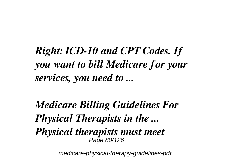*Right: ICD-10 and CPT Codes. If you want to bill Medicare for your services, you need to ...*

*Medicare Billing Guidelines For Physical Therapists in the ... Physical therapists must meet* Page 80/126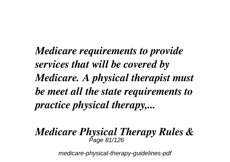*Medicare requirements to provide services that will be covered by Medicare. A physical therapist must be meet all the state requirements to practice physical therapy,...*

# *Medicare Physical Therapy Rules &* Page 81/126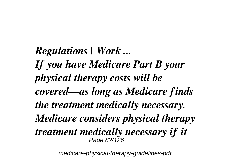*Regulations | Work ... If you have Medicare Part B your physical therapy costs will be covered—as long as Medicare finds the treatment medically necessary. Medicare considers physical therapy treatment medically necessary if it* Page 82/126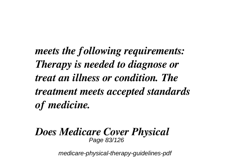*meets the following requirements: Therapy is needed to diagnose or treat an illness or condition. The treatment meets accepted standards of medicine.*

#### *Does Medicare Cover Physical* Page 83/126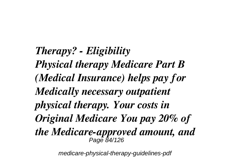*Therapy? - Eligibility Physical therapy Medicare Part B (Medical Insurance) helps pay for Medically necessary outpatient physical therapy. Your costs in Original Medicare You pay 20% of the Medicare-approved amount, and* Page 84/126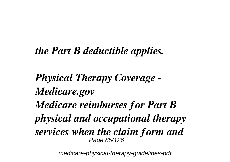## *the Part B deductible applies.*

*Physical Therapy Coverage - Medicare.gov Medicare reimburses for Part B physical and occupational therapy services when the claim form and* Page 85/126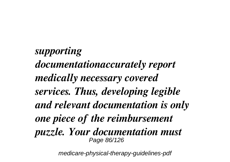*supporting documentationaccurately report medically necessary covered services. Thus, developing legible and relevant documentation is only one piece of the reimbursement puzzle. Your documentation must* Page 86/126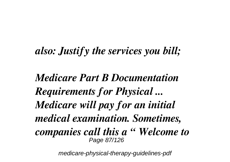## *also: Justify the services you bill;*

*Medicare Part B Documentation Requirements for Physical ... Medicare will pay for an initial medical examination. Sometimes, companies call this a " Welcome to* Page 87/126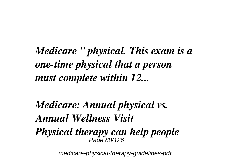*Medicare " physical. This exam is a one-time physical that a person must complete within 12...*

*Medicare: Annual physical vs. Annual Wellness Visit Physical therapy can help people* Page 88/126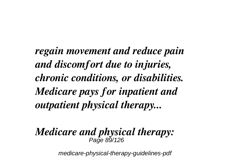*regain movement and reduce pain and discomfort due to injuries, chronic conditions, or disabilities. Medicare pays for inpatient and outpatient physical therapy...*

#### *Medicare and physical therapy:* Page 89/126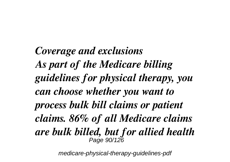*Coverage and exclusions As part of the Medicare billing guidelines for physical therapy, you can choose whether you want to process bulk bill claims or patient claims. 86% of all Medicare claims are bulk billed, but for allied health* Page 90/126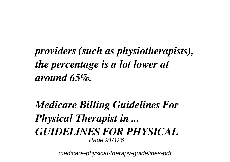## *providers (such as physiotherapists), the percentage is a lot lower at around 65%.*

## *Medicare Billing Guidelines For Physical Therapist in ... GUIDELINES FOR PHYSICAL* Page 91/126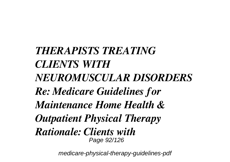*THERAPISTS TREATING CLIENTS WITH NEUROMUSCULAR DISORDERS Re: Medicare Guidelines for Maintenance Home Health & Outpatient Physical Therapy Rationale: Clients with* Page 92/126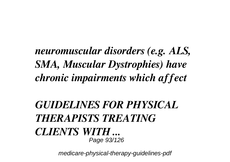*neuromuscular disorders (e.g. ALS, SMA, Muscular Dystrophies) have chronic impairments which affect*

## *GUIDELINES FOR PHYSICAL THERAPISTS TREATING CLIENTS WITH ...* Page 93/126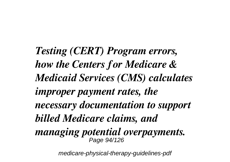*Testing (CERT) Program errors, how the Centers for Medicare & Medicaid Services (CMS) calculates improper payment rates, the necessary documentation to support billed Medicare claims, and managing potential overpayments.* Page 94/126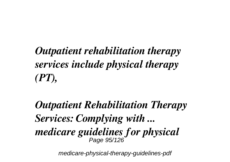*Outpatient rehabilitation therapy services include physical therapy (PT),*

*Outpatient Rehabilitation Therapy Services: Complying with ... medicare guidelines for physical* Page 95/126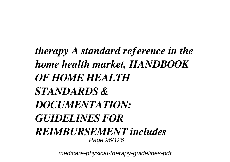*therapy A standard reference in the home health market, HANDBOOK OF HOME HEALTH STANDARDS & DOCUMENTATION: GUIDELINES FOR REIMBURSEMENT includes* Page 96/126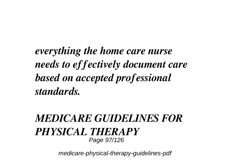*everything the home care nurse needs to effectively document care based on accepted professional standards.*

#### *MEDICARE GUIDELINES FOR PHYSICAL THERAPY* Page 97/126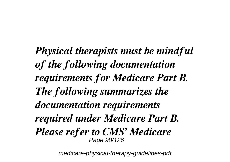*Physical therapists must be mindful of the following documentation requirements for Medicare Part B. The following summarizes the documentation requirements required under Medicare Part B. Please refer to CMS' Medicare* Page 98/126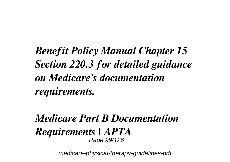*Benefit Policy Manual Chapter 15 Section 220.3 for detailed guidance on Medicare's documentation requirements.*

#### *Medicare Part B Documentation Requirements | APTA* Page 99/126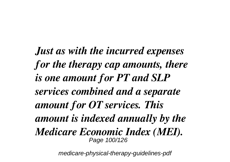*Just as with the incurred expenses for the therapy cap amounts, there is one amount for PT and SLP services combined and a separate amount for OT services. This amount is indexed annually by the Medicare Economic Index (MEI).* Page 100/126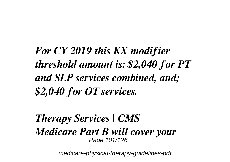*For CY 2019 this KX modifier threshold amount is: \$2,040 for PT and SLP services combined, and; \$2,040 for OT services.*

*Therapy Services | CMS Medicare Part B will cover your* Page 101/126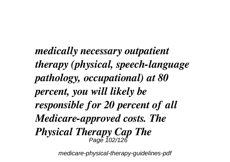*medically necessary outpatient therapy (physical, speech-language pathology, occupational) at 80 percent, you will likely be responsible for 20 percent of all Medicare-approved costs. The Physical Therapy Cap The* Page 102/126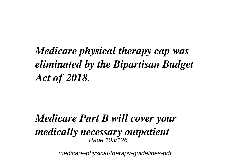# *Medicare physical therapy cap was eliminated by the Bipartisan Budget Act of 2018.*

### *Medicare Part B will cover your medically necessary outpatient* Page 103/126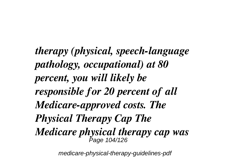*therapy (physical, speech-language pathology, occupational) at 80 percent, you will likely be responsible for 20 percent of all Medicare-approved costs. The Physical Therapy Cap The Medicare physical therapy cap was* Page 104/126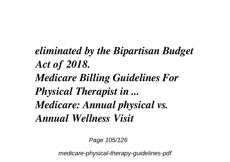*eliminated by the Bipartisan Budget Act of 2018. Medicare Billing Guidelines For Physical Therapist in ... Medicare: Annual physical vs. Annual Wellness Visit*

Page 105/126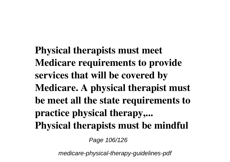**Physical therapists must meet Medicare requirements to provide services that will be covered by Medicare. A physical therapist must be meet all the state requirements to practice physical therapy,... Physical therapists must be mindful**

Page 106/126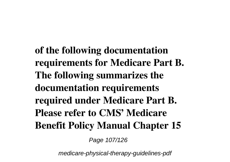**of the following documentation requirements for Medicare Part B. The following summarizes the documentation requirements required under Medicare Part B. Please refer to CMS' Medicare Benefit Policy Manual Chapter 15**

Page 107/126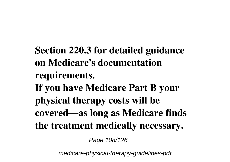**Section 220.3 for detailed guidance on Medicare's documentation requirements. If you have Medicare Part B your physical therapy costs will be covered—as long as Medicare finds the treatment medically necessary.**

Page 108/126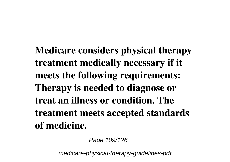**Medicare considers physical therapy treatment medically necessary if it meets the following requirements: Therapy is needed to diagnose or treat an illness or condition. The treatment meets accepted standards of medicine.**

Page 109/126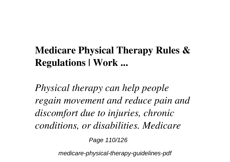## **Medicare Physical Therapy Rules & Regulations | Work ...**

*Physical therapy can help people regain movement and reduce pain and discomfort due to injuries, chronic conditions, or disabilities. Medicare*

Page 110/126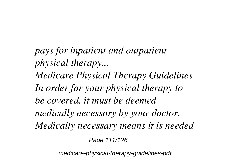*pays for inpatient and outpatient physical therapy... Medicare Physical Therapy Guidelines In order for your physical therapy to be covered, it must be deemed medically necessary by your doctor. Medically necessary means it is needed*

Page 111/126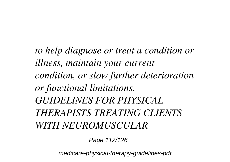*to help diagnose or treat a condition or illness, maintain your current condition, or slow further deterioration or functional limitations. GUIDELINES FOR PHYSICAL THERAPISTS TREATING CLIENTS WITH NEUROMUSCULAR*

Page 112/126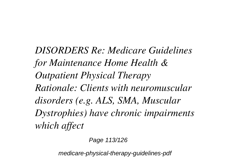*DISORDERS Re: Medicare Guidelines for Maintenance Home Health & Outpatient Physical Therapy Rationale: Clients with neuromuscular disorders (e.g. ALS, SMA, Muscular Dystrophies) have chronic impairments which affect*

Page 113/126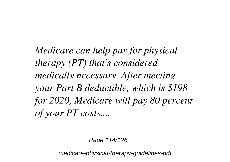*Medicare can help pay for physical therapy (PT) that's considered medically necessary. After meeting your Part B deductible, which is \$198 for 2020, Medicare will pay 80 percent of your PT costs....*

Page 114/126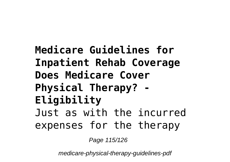**Medicare Guidelines for Inpatient Rehab Coverage Does Medicare Cover Physical Therapy? - Eligibility** Just as with the incurred expenses for the therapy

Page 115/126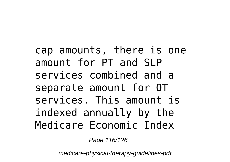cap amounts, there is one amount for PT and SLP services combined and a separate amount for OT services. This amount is indexed annually by the Medicare Economic Index

Page 116/126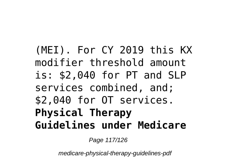## (MEI). For CY 2019 this KX modifier threshold amount is: \$2,040 for PT and SLP services combined, and; \$2,040 for OT services. **Physical Therapy Guidelines under Medicare**

Page 117/126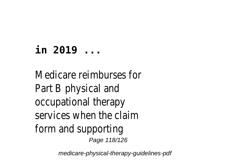## **in 2019 ...**

Medicare reimburses for Part B physical and occupational therapy services when the claim form and supporting Page 118/126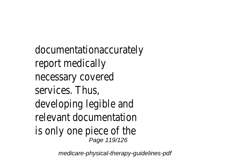documentationaccurately report medically necessary covered services. Thus, developing legible and relevant documentation is only one piece of the Page 119/126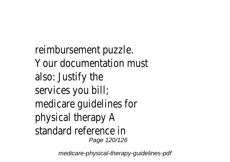reimbursement puzzle. Your documentation must also: Justify the services you bill; medicare guidelines for physical therapy A standard reference in Page 120/126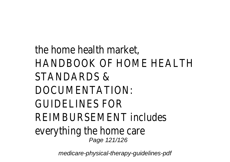the home health market, HANDBOOK OF HOME HEALTH STANDARDS & DOCUMENTATION: GUIDELINES FOR REIMBURSEMENT includes everything the home care Page 121/126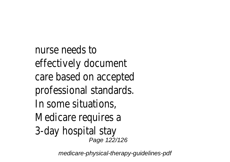nurse needs to effectively document care based on accepted professional standards. In some situations, Medicare requires a 3-day hospital stay Page 122/126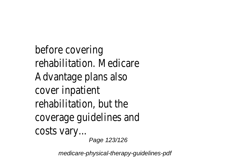before covering rehabilitation. Medicare Advantage plans also cover inpatient rehabilitation, but the coverage guidelines and costs vary... Page 123/126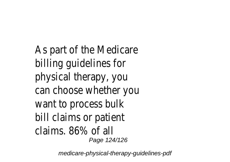As part of the Medicare billing guidelines for physical therapy, you can choose whether you want to process bulk bill claims or patient claims. 86% of all Page 124/126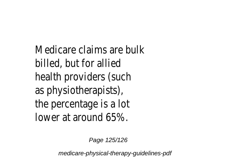Medicare claims are bulk billed, but for allied health providers (such as physiotherapists), the percentage is a lot lower at around 65%.

Page 125/126